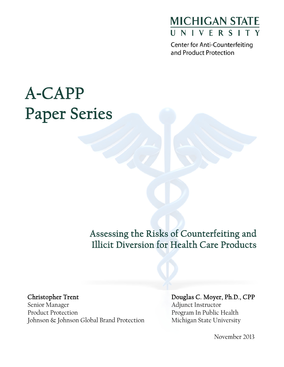

and Product Protection

# A**-**CAPP Paper Series

Assessing the Risks of Counterfeiting and Illicit Diversion for Health Care Products

Christopher Trent

Senior Manager Product Protection Johnson & Johnson Global Brand Protection Douglas C. Moyer, Ph.D., CPP Adjunct Instructor Program In Public Health Michigan State University

November 2013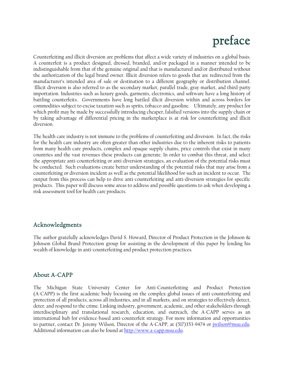## preface

Counterfeiting and illicit diversion are problems that affect a wide variety of industries on a global basis. A counterfeit is a product designed, dressed, branded, and/or packaged in a manner intended to be indistinguishable from that of the genuine original and that is manufactured and/or distributed without the authorization of the legal brand owner. Illicit diversion refers to goods that are redirected from the manufacturer's intended area of sale or destination to a different geography or distribution channel. Illicit diversion is also referred to as the secondary market, parallel trade, gray market, and third-party importation. Industries such as luxury goods, garments, electronics, and software have a long history of battling counterfeits. Governments have long battled illicit diversion within and across borders for commodities subject to excise taxation such as sprits, tobacco and gasoline. Ultimately, any product for which profit may be made by successfully introducing cheaper, falsified versions into the supply chain or by taking advantage of differential pricing in the marketplace is at risk for counterfeiting and illicit diversion.

The health care industry is not immune to the problems of counterfeiting and diversion. In fact, the risks for the health care industry are often greater than other industries due to the inherent risks to patients from many health care products, complex and opaque supply chains, price controls that exist in many countries and the vast revenues these products can generate. In order to combat this threat, and select the appropriate anti-counterfeiting or anti-diversion strategies, an evaluation of the potential risks must be conducted. Such evaluations create better understanding of the potential risks that may arise from a counterfeiting or diversion incident as well as the potential likelihood for such an incident to occur. The output from this process can help to drive anti-counterfeiting and anti-diversion strategies for specific products. This paper will discuss some areas to address and possible questions to ask when developing a risk assessment tool for health care products.

#### Acknowledgments

The author gratefully acknowledges David S. Howard, Director of Product Protection in the Johnson & Johnson Global Brand Protection group for assisting in the development of this paper by lending his wealth of knowledge in anti-counterfeiting and product protection practices.

#### About A-CAPP

The Michigan State University Center for Anti-Counterfeiting and Product Protection (A-CAPP) is the first academic body focusing on the complex global issues of anti-counterfeiting and protection of all products, across all industries, and in all markets, and on strategies to effectively detect, deter, and respond to the crime. Linking industry, government, academic, and other stakeholders through interdisciplinary and translational research, education, and outreach, the A-CAPP serves as an international hub for evidence-based anti-counterfeit strategy. For more information and opportunities to partner, contact Dr. Jeremy Wilson, Director of the A-CAPP, at (517)353-9474 or [jwilson@msu.edu.](mailto:jwilson@msu.edu)  Additional information can also be found a[t http://www.a-capp.msu.edu.](http://www.a-capp.msu.edu/)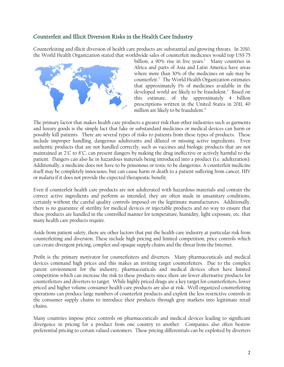#### Counterfeit and Illicit Diversion Risks in the Health Care Industry

Counterfeiting and illicit diversion of health care products are substantial and growing threats. In 2010, the World Health Organization stated that worldwide sales of counterfeit medicines would top US\$ 75



billion, a  $90\%$  rise in five years.<sup>1</sup> Many countries in Africa and parts of Asia and Latin America have areas where more than 30% of the medicines on sale may be counterfeit.2 The World Health Organization estimates that approximately 1% of medicines available in the developed world are likely to be fraudulent.<sup>3</sup> Based on this estimate, of the approximately 4 billion prescriptions written in the United States in 2011, 40 million are likely to be fraudulent.<sup>4</sup>

The primary factor that makes health care products a greater risk than other industries such as garments and luxury goods is the simple fact that fake or substandard medicines or medical devices can harm or possibly kill patients. There are several types of risks to patients from these types of products. These include improper handling, dangerous adulterants and diluted or missing active ingredients. Even authentic products that are not handled correctly, such as vaccines and biologic products that are not maintained at 2°C to 8°C, can present dangers by making the drug ineffective or actively harmful to the patient. Dangers can also lie in hazardous materials being introduced into a product (i.e. adulteration). Additionally, a medicine does not have to be poisonous or toxic to be dangerous. A counterfeit medicine itself may be completely innocuous, but can cause harm or death to a patient suffering from cancer, HIV or malaria if it does not provide the expected therapeutic benefit.

Even if counterfeit health care products are not adulterated with hazardous materials and contain the correct active ingredients and perform as intended, they are often made in unsanitary conditions, certainly without the careful quality controls imposed on the legitimate manufacturers. Additionally, there is no guarantee of sterility for medical devices or injectable products and no way to ensure that these products are handled in the controlled manner for temperature, humidity, light exposure, etc. that many health care products require.

Aside from patient safety, there are other factors that put the health care industry at particular risk from counterfeiting and diversion. These include high pricing and limited competition, price controls which can create divergent pricing, complex and opaque supply chains and the threat from the Internet.

Profit is the primary motivator for counterfeiters and diverters. Many pharmaceuticals and medical devices command high prices and this makes an inviting target counterfeiters. Due to the complex patent environment for the industry, pharmaceuticals and medical devices often have limited competition which can increase the risk to these products since there are fewer alternative products for counterfeiters and diverters to target. While highly priced drugs are a key target for counterfeiters, lower priced and higher volume consumer health care products are also at risk. Well organized counterfeiting operations can produce large numbers of counterfeit products and exploit the less restrictive controls in the consumer supply chains to introduce their products through gray markets into legitimate retail chains.

Many countries impose price controls on pharmaceuticals and medical devices leading to significant divergence in pricing for a product from one country to another. Companies also often bestow preferential pricing to certain valued customers. These pricing differentials can be exploited by diverters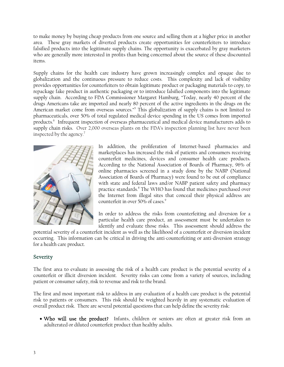to make money by buying cheap products from one source and selling them at a higher price in another area. These gray markets of diverted products create opportunities for counterfeiters to introduce falsified products into the legitimate supply chains. The opportunity is exacerbated by gray marketers who are generally more interested in profits than being concerned about the source of these discounted items.

Supply chains for the health care industry have grown increasingly complex and opaque due to globalization and the continuous pressure to reduce costs. This complexity and lack of visibility provides opportunities for counterfeiters to obtain legitimate product or packaging materials to copy, to repackage fake product in authentic packaging or to introduce falsified components into the legitimate supply chain. According to FDA Commissioner Margaret Hamburg, "Today, nearly 40 percent of the drugs Americans take are imported and nearly 80 percent of the active ingredients in the drugs on the American market come from overseas sources."<sup>5</sup> This globalization of supply chains is not limited to pharmaceuticals, over 50% of total regulated medical device spending in the US comes from imported products.<sup>6</sup> Infrequent inspection of overseas pharmaceutical and medical device manufacturers adds to supply chain risks. Over 2,000 overseas plants on the FDA's inspection planning list have never been inspected by the agency.<sup>7</sup>



In addition, the proliferation of Internet-based pharmacies and marketplaces has increased the risk of patients and consumers receiving counterfeit medicines, devices and consumer health care products. According to the National Association of Boards of Pharmacy, 96% of online pharmacies screened in a study done by the NABP (National Association of Boards of Pharmacy) were found to be out of compliance with state and federal laws and/or NABP patient safety and pharmacy practice standards.<sup>8</sup> The WHO has found that medicines purchased over the Internet from illegal sites that conceal their physical address are counterfeit in over  $50\%$  of cases.<sup>9</sup>

In order to address the risks from counterfeiting and diversion for a particular health care product, an assessment must be undertaken to identify and evaluate those risks. This assessment should address the

potential severity of a counterfeit incident as well as the likelihood of a counterfeit or diversion incident occurring. This information can be critical in driving the anti-counterfeiting or anti-diversion strategy for a health care product.

#### Severity

The first area to evaluate in assessing the risk of a health care product is the potential severity of a counterfeit or illicit diversion incident. Severity risks can come from a variety of sources, including patient or consumer safety, risk to revenue and risk to the brand.

The first and most important risk to address in any evaluation of a health care product is the potential risk to patients or consumers. This risk should be weighted heavily in any systematic evaluation of overall product risk. There are several potential questions that can help define the severity risk:

• Who will use the product? Infants, children or seniors are often at greater risk from an adulterated or diluted counterfeit product than healthy adults.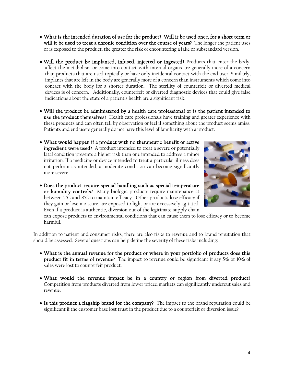- What is the intended duration of use for the product? Will it be used once, for a short term or will it be used to treat a chronic condition over the course of years? The longer the patient uses or is exposed to the product, the greater the risk of encountering a fake or substandard version.
- Will the product be implanted, infused, injected or ingested? Products that enter the body, affect the metabolism or come into contact with internal organs are generally more of a concern than products that are used topically or have only incidental contact with the end user. Similarly, implants that are left in the body are generally more of a concern than instruments which come into contact with the body for a shorter duration. The sterility of counterfeit or diverted medical devices is of concern. Additionally, counterfeit or diverted diagnostic devices that could give false indications about the state of a patient's health are a significant risk.
- Will the product be administered by a health care professional or is the patient intended to use the product themselves? Health care professionals have training and greater experience with these products and can often tell by observation or feel if something about the product seems amiss. Patients and end users generally do not have this level of familiarity with a product.
- What would happen if a product with no therapeutic benefit or active ingredient were used? A product intended to treat a severe or potentially fatal condition presents a higher risk than one intended to address a minor irritation. If a medicine or device intended to treat a particular illness does not perform as intended, a moderate condition can become significantly more severe.
- Does the product require special handling such as special temperature or humidity controls? Many biologic products require maintenance at between 2°C and 8°C to maintain efficacy. Other products lose efficacy if they gain or lose moisture, are exposed to light or are excessively agitated. Even if a product is authentic, diversion out of the legitimate supply chain



can expose products to environmental conditions that can cause them to lose efficacy or to become harmful.

In addition to patient and consumer risks, there are also risks to revenue and to brand reputation that should be assessed. Several questions can help define the severity of these risks including:

- What is the annual revenue for the product or where in your portfolio of products does this product fit in terms of revenue? The impact to revenue could be significant if say 5% or 10% of sales were lost to counterfeit product.
- What would the revenue impact be in a country or region from diverted product? Competition from products diverted from lower priced markets can significantly undercut sales and revenue.
- Is this product a flagship brand for the company? The impact to the brand reputation could be significant if the customer base lost trust in the product due to a counterfeit or diversion issue?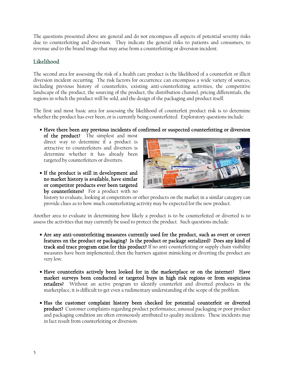The questions presented above are general and do not encompass all aspects of potential severity risks due to counterfeiting and diversion. They indicate the general risks to patients and consumers, to revenue and to the brand image that may arise from a counterfeiting or diversion incident.

#### Likelihood

The second area for assessing the risk of a health care product is the likelihood of a counterfeit or illicit diversion incident occurring. The risk factors for occurrence can encompass a wide variety of sources, including previous history of counterfeits, existing anti-counterfeiting activities, the competitive landscape of the product, the sourcing of the product, the distribution channel, pricing differentials, the regions in which the product will be sold, and the design of the packaging and product itself.

The first and most basic area for assessing the likelihood of counterfeit product risk is to determine whether the product has ever been, or is currently being counterfeited. Exploratory questions include:

### • Have there been any previous incidents of confirmed or suspected counterfeiting or diversion

of the product? The simplest and most direct way to determine if a product is attractive to counterfeiters and diverters is determine whether it has already been targeted by counterfeiters or diverters.

• If the product is still in development and no market history is available, have similar or competitor products ever been targeted by counterfeiters? For a product with no



history to evaluate, looking at competitors or other products on the market in a similar category can provide clues as to how much counterfeiting activity may be expected for the new product.

Another area to evaluate in determining how likely a product is to be counterfeited or diverted is to assess the activities that may currently be used to protect the product. Such questions include:

- Are any anti-counterfeiting measures currently used for the product, such as overt or covert features on the product or packaging? Is the product or package serialized? Does any kind of track and trace program exist for this product? If no anti-counterfeiting or supply chain visibility measures have been implemented, then the barriers against mimicking or diverting the product are very low.
- Have counterfeits actively been looked for in the marketplace or on the internet? Have market surveys been conducted or targeted buys in high risk regions or from suspicious retailers? Without an active program to identify counterfeit and diverted products in the marketplace, it is difficult to get even a rudimentary understanding of the scope of the problem.
- Has the customer complaint history been checked for potential counterfeit or diverted product? Customer complaints regarding product performance, unusual packaging or poor product and packaging condition are often erroneously attributed to quality incidents. These incidents may in fact result from counterfeiting or diversion.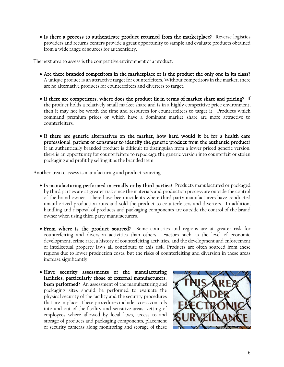• Is there a process to authenticate product returned from the marketplace? Reverse logistics providers and returns centers provide a great opportunity to sample and evaluate products obtained from a wide range of sources for authenticity.

The next area to assess is the competitive environment of a product.

- Are there branded competitors in the marketplace or is the product the only one in its class? A unique product is an attractive target for counterfeiters. Without competitors in the market, there are no alternative products for counterfeiters and diverters to target.
- If there are competitors, where does the product fit in terms of market share and pricing? If the product holds a relatively small market share and is in a highly competitive price environment, then it may not be worth the time and resources for counterfeiters to target it. Products which command premium prices or which have a dominant market share are more attractive to counterfeiters.
- If there are generic alternatives on the market, how hard would it be for a health care professional, patient or consumer to identify the generic product from the authentic product? If an authentically branded product is difficult to distinguish from a lower priced generic version, there is an opportunity for counterfeiters to repackage the generic version into counterfeit or stolen packaging and profit by selling it as the branded item.

Another area to assess is manufacturing and product sourcing.

- Is manufacturing performed internally or by third parties? Products manufactured or packaged by third parties are at greater risk since the materials and production process are outside the control of the brand owner. There have been incidents where third party manufacturers have conducted unauthorized production runs and sold the product to counterfeiters and diverters. In addition, handling and disposal of products and packaging components are outside the control of the brand owner when using third party manufacturers.
- From where is the product sourced? Some countries and regions are at greater risk for counterfeiting and diversion activities than others. Factors such as the level of economic development, crime rate, a history of counterfeiting activities, and the development and enforcement of intellectual property laws all contribute to this risk. Products are often sourced from these regions due to lower production costs, but the risks of counterfeiting and diversion in these areas increase significantly.
- Have security assessments of the manufacturing facilities, particularly those of external manufacturers, been performed? An assessment of the manufacturing and packaging sites should be performed to evaluate the physical security of the facility and the security procedures that are in place. These procedures include access controls into and out of the facility and sensitive areas, vetting of employees where allowed by local laws, access to and storage of products and packaging components, placement of security cameras along monitoring and storage of these

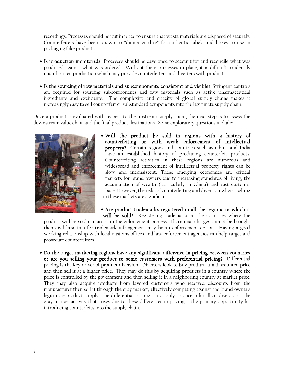recordings. Processes should be put in place to ensure that waste materials are disposed of securely. Counterfeiters have been known to "dumpster dive" for authentic labels and boxes to use in packaging fake products.

- Is production monitored? Processes should be developed to account for and reconcile what was produced against what was ordered. Without these processes in place, it is difficult to identify unauthorized production which may provide counterfeiters and diverters with product.
- Is the sourcing of raw materials and subcomponents consistent and visible? Stringent controls are required for sourcing subcomponents and raw materials such as active pharmaceutical ingredients and excipients. The complexity and opacity of global supply chains makes it increasingly easy to sell counterfeit or substandard components into the legitimate supply chain.

Once a product is evaluated with respect to the upstream supply chain, the next step is to assess the downstream value chain and the final product destinations. Some exploratory questions include:



- Will the product be sold in regions with a history of counterfeiting or with weak enforcement of intellectual property? Certain regions and countries such as China and India have an established history of producing counterfeit products. Counterfeiting activities in these regions are numerous and widespread and enforcement of intellectual property rights can be slow and inconsistent. These emerging economies are critical markets for brand owners due to increasing standards of living, the accumulation of wealth (particularly in China) and vast customer base. However, the risks of counterfeiting and diversion when selling in these markets are significant.
- Are product trademarks registered in all the regions in which it will be sold? Registering trademarks in the countries where the

product will be sold can assist in the enforcement process. If criminal charges cannot be brought then civil litigation for trademark infringement may be an enforcement option. Having a good working relationship with local customs offices and law enforcement agencies can help target and prosecute counterfeiters.

• Do the target marketing regions have any significant difference in pricing between countries or are you selling your product to some customers with preferential pricing? Differential pricing is the key driver of product diversion. Diverters look to buy product at a discounted price and then sell it at a higher price. They may do this by acquiring products in a country where the price is controlled by the government and then selling it in a neighboring country at market price. They may also acquire products from favored customers who received discounts from the manufacturer then sell it through the gray market, effectively competing against the brand owner's legitimate product supply. The differential pricing is not only a concern for illicit diversion. The gray market activity that arises due to these differences in pricing is the primary opportunity for introducing counterfeits into the supply chain.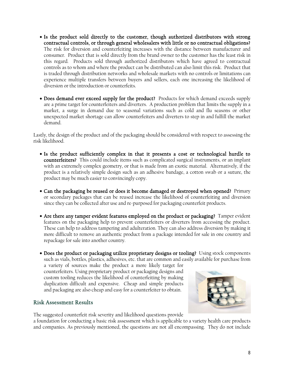- Is the product sold directly to the customer, though authorized distributors with strong contractual controls, or through general wholesalers with little or no contractual obligations? The risk for diversion and counterfeiting increases with the distance between manufacturer and consumer. Product that is sold directly from the brand owner to the customer has the least risk in this regard. Products sold through authorized distributors which have agreed to contractual controls as to whom and where the product can be distributed can also limit this risk. Product that is traded through distribution networks and wholesale markets with no controls or limitations can experience multiple transfers between buyers and sellers, each one increasing the likelihood of diversion or the introduction or counterfeits.
- Does demand ever exceed supply for the product? Products for which demand exceeds supply are a prime target for counterfeiters and diverters. A production problem that limits the supply in a market, a surge in demand due to seasonal variations such as cold and flu seasons or other unexpected market shortage can allow counterfeiters and diverters to step in and fulfill the market demand.

Lastly, the design of the product and of the packaging should be considered with respect to assessing the risk likelihood.

- Is the product sufficiently complex in that it presents a cost or technological hurdle to counterfeiters? This could include items such as complicated surgical instruments, or an implant with an extremely complex geometry, or that is made from an exotic material. Alternatively, if the product is a relatively simple design such as an adhesive bandage, a cotton swab or a suture, the product may be much easier to convincingly copy.
- Can the packaging be reused or does it become damaged or destroyed when opened? Primary or secondary packages that can be reused increase the likelihood of counterfeiting and diversion since they can be collected after use and re-purposed for packaging counterfeit products.
- Are there any tamper evident features employed on the product or packaging? Tamper evident features on the packaging help to prevent counterfeiters or diverters from accessing the product. These can help to address tampering and adulteration. They can also address diversion by making it more difficult to remove an authentic product from a package intended for sale in one country and repackage for sale into another country.

• Does the product or packaging utilize proprietary designs or tooling? Using stock components such as vials, bottles, plastics, adhesives, etc. that are common and easily available for purchase from

a variety of sources make the product a more likely target for counterfeiters. Using proprietary product or packaging designs and custom tooling reduces the likelihood of counterfeiting by making duplication difficult and expensive. Cheap and simple products and packaging are also cheap and easy for a counterfeiter to obtain.

#### Risk Assessment Results

The suggested counterfeit risk severity and likelihood questions provide a foundation for conducting a basic risk assessment which is applicable to a variety health care products and companies. As previously mentioned, the questions are not all encompassing. They do not include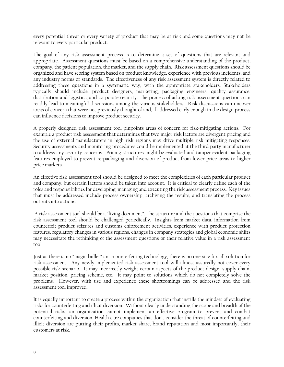every potential threat or every variety of product that may be at risk and some questions may not be relevant to every particular product.

The goal of any risk assessment process is to determine a set of questions that are relevant and appropriate. Assessment questions must be based on a comprehensive understanding of the product, company, the patient population, the market, and the supply chain. Risk assessment questions should be organized and have scoring system based on product knowledge, experience with previous incidents, and any industry norms or standards. The effectiveness of any risk assessment system is directly related to addressing these questions in a systematic way, with the appropriate stakeholders. Stakeholders typically should include: product designers, marketing, packaging engineers, quality assurance, distribution and logistics, and corporate security. The process of asking risk assessment questions can readily lead to meaningful discussions among the various stakeholders. Risk discussions can uncover areas of concern that were not previously thought of and, if addressed early enough in the design process can influence decisions to improve product security.

A properly designed risk assessment tool pinpoints areas of concern for risk-mitigating actions. For example a product risk assessment that determines that two major risk factors are divergent pricing and the use of external manufacturers in high risk regions may drive multiple risk mitigating responses. Security assessments and monitoring procedures could be implemented at the third party manufacturer to address any security concerns. Pricing structures might be evaluated and tamper evident packaging features employed to prevent re-packaging and diversion of product from lower price areas to higher price markets.

An effective risk assessment tool should be designed to meet the complexities of each particular product and company, but certain factors should be taken into account. It is critical to clearly define each of the roles and responsibilities for developing, managing and executing the risk assessment process. Key issues that must be addressed include process ownership, archiving the results, and translating the process outputs into actions.

 A risk assessment tool should be a "living document". The structure and the questions that comprise the risk assessment tool should be challenged periodically. Insights from market data, information from counterfeit product seizures and customs enforcement activities, experience with product protection features, regulatory changes in various regions, changes in company strategies and global economic shifts may necessitate the rethinking of the assessment questions or their relative value in a risk assessment tool.

Just as there is no "magic bullet" anti-counterfeiting technology, there is no one size fits all solution for risk assessment. Any newly implemented risk assessment tool will almost assuredly not cover every possible risk scenario. It may incorrectly weight certain aspects of the product design, supply chain, market position, pricing scheme, etc. It may point to solutions which do not completely solve the problems. However, with use and experience these shortcomings can be addressed and the risk assessment tool improved.

It is equally important to create a process within the organization that instills the mindset of evaluating risks for counterfeiting and illicit diversion. Without clearly understanding the scope and breadth of the potential risks, an organization cannot implement an effective program to prevent and combat counterfeiting and diversion. Health care companies that don't consider the threat of counterfeiting and illicit diversion are putting their profits, market share, brand reputation and most importantly, their customers at risk.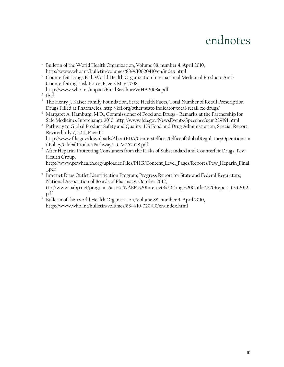### endnotes

- <sup>1</sup> Bulletin of the World Health Organization, Volume 88, number 4, April 2010, <http://www.who.int/bulletin/volumes/88/4/10020410/en/index.html>
- <sup>2</sup> Counterfeit Drugs Kill, World Health Organization International Medicinal Products Anti-Counterfeiting Task Force, Page 3 May 2008,
- <http://www.who.int/impact/FinalBrochureWHA2008a.pdf>
- <sup>3</sup> Ibid
- <sup>4</sup> The Henry J. Kaiser Family Foundation, State Health Facts, Total Number of Retail Prescription
- Drugs Filled at Pharmacies.<http://kff.org/other/state-indicator/total-retail-rx-drugs/>5 Margaret A. Hamburg, M.D., Commissioner of Food and Drugs Remarks at the Partnership for
- Safe Medicines Interchange 2010, [http://www.fda.gov/NewsEvents/Speeches/ucm229191.html](http://www.fda.gov/NewsEvents/Speeches/ucm229191.htm) 6 Pathway to Global Product Safety and Quality, US Food and Drug Administration, Special Report, Revised July 7, 2011, Page 12.

[http://www.fda.gov/downloads/AboutFDA/CentersOffices/OfficeofGlobalRegulatoryOperationsan](http://www.fda.gov/downloads/AboutFDA/CentersOffices/OfficeofGlobalRegulatoryOperationsandPolicy/GlobalProductPathway/UCM262528.pdf) [dPolicy/GlobalProductPathway/UCM262528.pdf](http://www.fda.gov/downloads/AboutFDA/CentersOffices/OfficeofGlobalRegulatoryOperationsandPolicy/GlobalProductPathway/UCM262528.pdf)

<sup>7</sup> After Heparin: Protecting Consumers from the Risks of Substandard and Counterfeit Drugs, Pew Health Group,

[http://www.pewhealth.org/uploadedFiles/PHG/Content\\_Level\\_Pages/Reports/Pew\\_Heparin\\_Final](http://www.pewhealth.org/uploadedFiles/PHG/Content_Level_Pages/Reports/Pew_Heparin_Final_.pdf) [\\_.pdf](http://www.pewhealth.org/uploadedFiles/PHG/Content_Level_Pages/Reports/Pew_Heparin_Final_.pdf)

- $8\text{ }$  Internet Drug Outlet Identification Program; Progress Report for State and Federal Regulators, National Association of Boards of Pharmacy, October 2012, [ttp://www.nabp.net/programs/assets/NABP%20Internet%20Drug%20Outlet%20Report\\_Oct2012.](ttp://www.nabp.net/programs/assets/NABP%20Internet%20Drug%20Outlet%20Report_Oct2012.pdf) [pdf](ttp://www.nabp.net/programs/assets/NABP%20Internet%20Drug%20Outlet%20Report_Oct2012.pdf)
- <sup>9</sup> Bulletin of the World Health Organization, Volume 88, number 4, April 2010, <http://www.who.int/bulletin/volumes/88/4/10-020410/en/index.html>